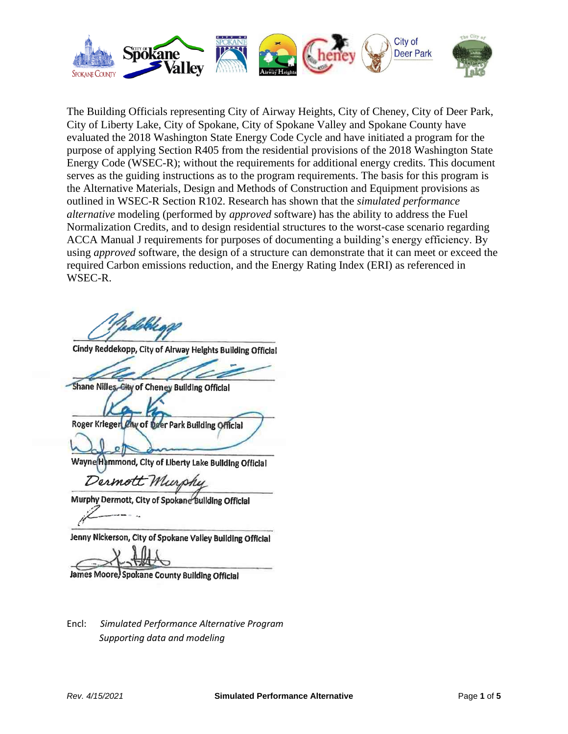

The Building Officials representing City of Airway Heights, City of Cheney, City of Deer Park, City of Liberty Lake, City of Spokane, City of Spokane Valley and Spokane County have evaluated the 2018 Washington State Energy Code Cycle and have initiated a program for the purpose of applying Section R405 from the residential provisions of the 2018 Washington State Energy Code (WSEC-R); without the requirements for additional energy credits. This document serves as the guiding instructions as to the program requirements. The basis for this program is the Alternative Materials, Design and Methods of Construction and Equipment provisions as outlined in WSEC-R Section R102. Research has shown that the *simulated performance alternative* modeling (performed by *approved* software) has the ability to address the Fuel Normalization Credits, and to design residential structures to the worst-case scenario regarding ACCA Manual J requirements for purposes of documenting a building's energy efficiency. By using *approved* software, the design of a structure can demonstrate that it can meet or exceed the required Carbon emissions reduction, and the Energy Rating Index (ERI) as referenced in WSEC-R.

Islah .

Cindy Reddekopp, City of Alrway Heights Building Official

Shane Nilles, City of Cheney Building Official

Roger Krieger Chy of Deer Park Building Official

Wayne Hemmond, City of Liberty Lake Building Official

Dermott Murs

Murphy Dermott, City of Spokane Bullding Official

Jenny Nickerson, City of Spokane Valley Building Official

James Moore, Spokane County Building Official

Encl: *Simulated Performance Alternative Program Supporting data and modeling*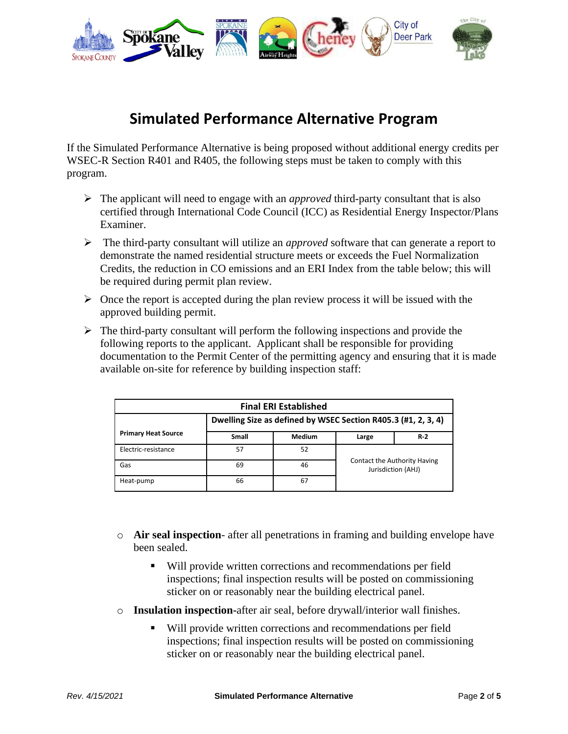

## **Simulated Performance Alternative Program**

If the Simulated Performance Alternative is being proposed without additional energy credits per WSEC-R Section R401 and R405, the following steps must be taken to comply with this program.

- ➢ The applicant will need to engage with an *approved* third-party consultant that is also certified through International Code Council (ICC) as Residential Energy Inspector/Plans Examiner.
- ➢ The third-party consultant will utilize an *approved* software that can generate a report to demonstrate the named residential structure meets or exceeds the Fuel Normalization Credits, the reduction in CO emissions and an ERI Index from the table below; this will be required during permit plan review.
- $\triangleright$  Once the report is accepted during the plan review process it will be issued with the approved building permit.
- $\triangleright$  The third-party consultant will perform the following inspections and provide the following reports to the applicant. Applicant shall be responsible for providing documentation to the Permit Center of the permitting agency and ensuring that it is made available on-site for reference by building inspection staff:

| <b>Final ERI Established</b> |                                                               |               |                                                    |       |  |
|------------------------------|---------------------------------------------------------------|---------------|----------------------------------------------------|-------|--|
|                              | Dwelling Size as defined by WSEC Section R405.3 (#1, 2, 3, 4) |               |                                                    |       |  |
| <b>Primary Heat Source</b>   | Small                                                         | <b>Medium</b> | Large                                              | $R-2$ |  |
| Electric-resistance          | 57                                                            | 52            | Contact the Authority Having<br>Jurisdiction (AHJ) |       |  |
| Gas                          | 69                                                            | 46            |                                                    |       |  |
| Heat-pump                    | 66                                                            | 67            |                                                    |       |  |

- o **Air seal inspection** after all penetrations in framing and building envelope have been sealed.
	- Will provide written corrections and recommendations per field inspections; final inspection results will be posted on commissioning sticker on or reasonably near the building electrical panel.
- o **Insulation inspection-**after air seal, before drywall/interior wall finishes.
	- Will provide written corrections and recommendations per field inspections; final inspection results will be posted on commissioning sticker on or reasonably near the building electrical panel.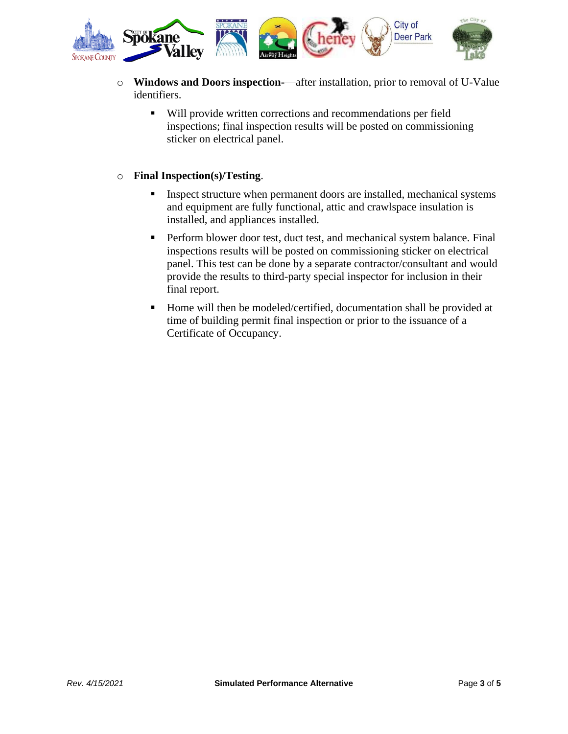

- o **Windows and Doors inspection-**—after installation, prior to removal of U-Value identifiers.
	- Will provide written corrections and recommendations per field inspections; final inspection results will be posted on commissioning sticker on electrical panel.

## o **Final Inspection(s)/Testing**.

- **EXECUTE:** Inspect structure when permanent doors are installed, mechanical systems and equipment are fully functional, attic and crawlspace insulation is installed, and appliances installed.
- **•** Perform blower door test, duct test, and mechanical system balance. Final inspections results will be posted on commissioning sticker on electrical panel. This test can be done by a separate contractor/consultant and would provide the results to third-party special inspector for inclusion in their final report.
- Home will then be modeled/certified, documentation shall be provided at time of building permit final inspection or prior to the issuance of a Certificate of Occupancy.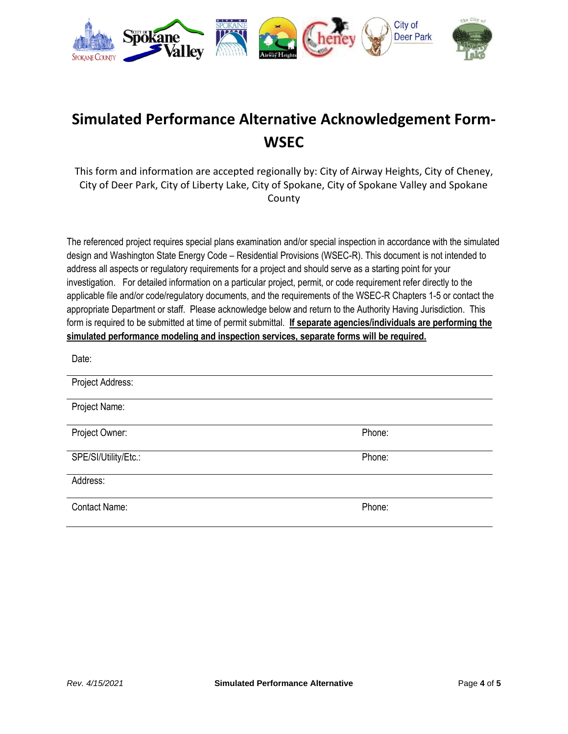

## **Simulated Performance Alternative Acknowledgement Form-WSEC**

This form and information are accepted regionally by: City of Airway Heights, City of Cheney, City of Deer Park, City of Liberty Lake, City of Spokane, City of Spokane Valley and Spokane County

The referenced project requires special plans examination and/or special inspection in accordance with the simulated design and Washington State Energy Code – Residential Provisions (WSEC-R). This document is not intended to address all aspects or regulatory requirements for a project and should serve as a starting point for your investigation. For detailed information on a particular project, permit, or code requirement refer directly to the applicable file and/or code/regulatory documents, and the requirements of the WSEC-R Chapters 1-5 or contact the appropriate Department or staff. Please acknowledge below and return to the Authority Having Jurisdiction. This form is required to be submitted at time of permit submittal. **If separate agencies/individuals are performing the simulated performance modeling and inspection services, separate forms will be required.**

| Date:                |        |
|----------------------|--------|
| Project Address:     |        |
| Project Name:        |        |
| Project Owner:       | Phone: |
| SPE/SI/Utility/Etc.: | Phone: |
| Address:             |        |
| <b>Contact Name:</b> | Phone: |